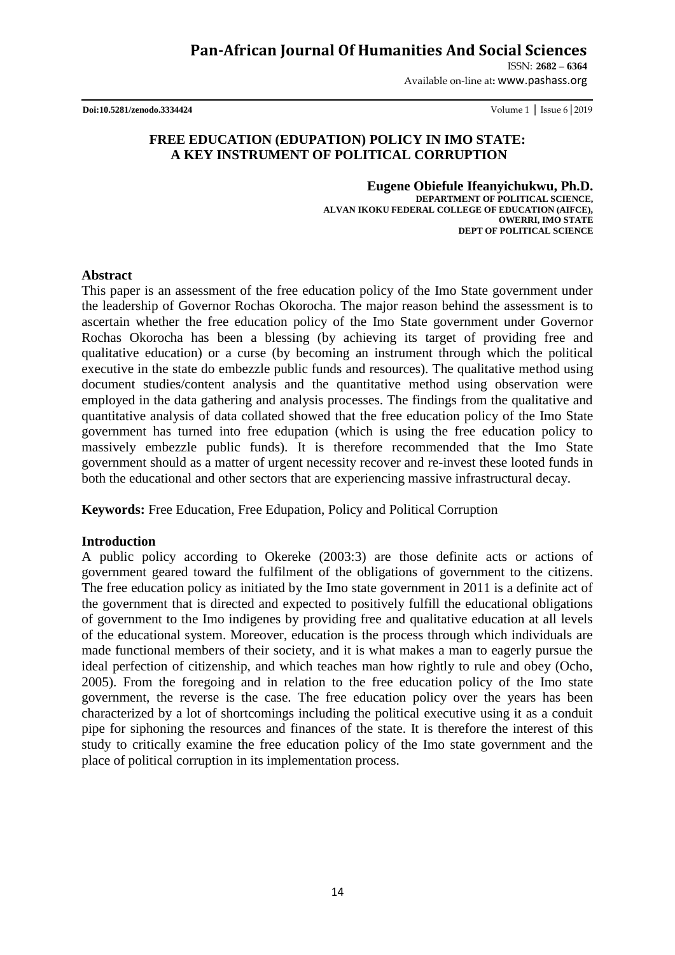# **Pan-African Journal Of Humanities And Social Sciences**

ISSN: **2682 – 6364**

Available on-line at**:** www.pashass.org

**Doi:10.5281/zenodo.3334424** Volume 1 │ Issue 6│2019

## **FREE EDUCATION (EDUPATION) POLICY IN IMO STATE: A KEY INSTRUMENT OF POLITICAL CORRUPTION**

**Eugene Obiefule Ifeanyichukwu, Ph.D. DEPARTMENT OF POLITICAL SCIENCE, ALVAN IKOKU FEDERAL COLLEGE OF EDUCATION (AIFCE), OWERRI, IMO STATE DEPT OF POLITICAL SCIENCE**

#### **Abstract**

This paper is an assessment of the free education policy of the Imo State government under the leadership of Governor Rochas Okorocha. The major reason behind the assessment is to ascertain whether the free education policy of the Imo State government under Governor Rochas Okorocha has been a blessing (by achieving its target of providing free and qualitative education) or a curse (by becoming an instrument through which the political executive in the state do embezzle public funds and resources). The qualitative method using document studies/content analysis and the quantitative method using observation were employed in the data gathering and analysis processes. The findings from the qualitative and quantitative analysis of data collated showed that the free education policy of the Imo State government has turned into free edupation (which is using the free education policy to massively embezzle public funds). It is therefore recommended that the Imo State government should as a matter of urgent necessity recover and re-invest these looted funds in both the educational and other sectors that are experiencing massive infrastructural decay.

**Keywords:** Free Education, Free Edupation, Policy and Political Corruption

## **Introduction**

A public policy according to Okereke (2003:3) are those definite acts or actions of government geared toward the fulfilment of the obligations of government to the citizens. The free education policy as initiated by the Imo state government in 2011 is a definite act of the government that is directed and expected to positively fulfill the educational obligations of government to the Imo indigenes by providing free and qualitative education at all levels of the educational system. Moreover, education is the process through which individuals are made functional members of their society, and it is what makes a man to eagerly pursue the ideal perfection of citizenship, and which teaches man how rightly to rule and obey (Ocho, 2005). From the foregoing and in relation to the free education policy of the Imo state government, the reverse is the case. The free education policy over the years has been characterized by a lot of shortcomings including the political executive using it as a conduit pipe for siphoning the resources and finances of the state. It is therefore the interest of this study to critically examine the free education policy of the Imo state government and the place of political corruption in its implementation process.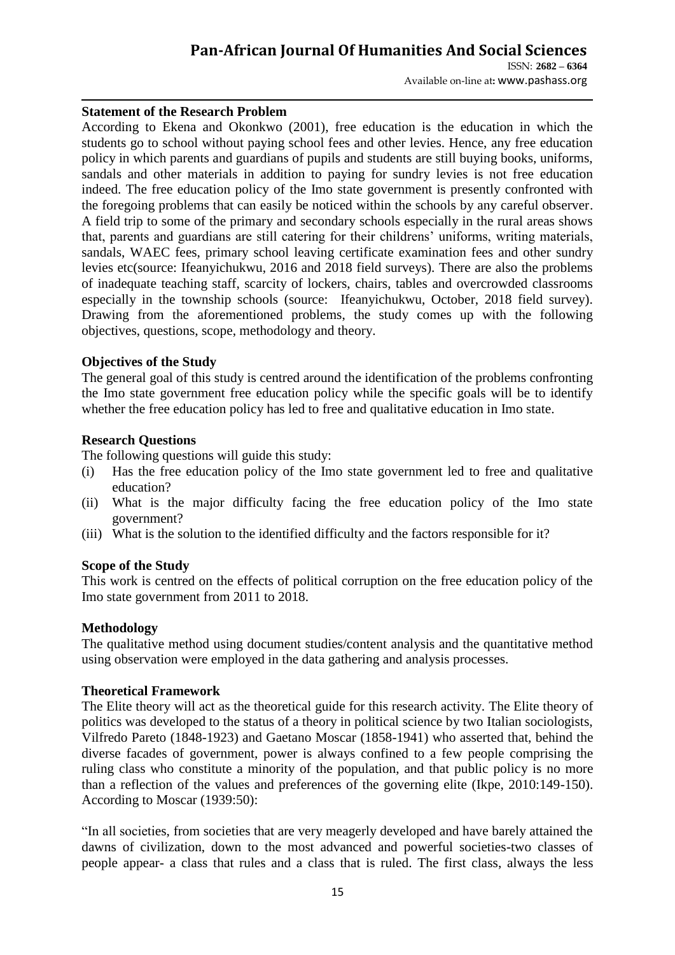# **Pan-African Journal Of Humanities And Social Sciences**

ISSN: **2682 – 6364** Available on-line at**:** www.pashass.org

## **Statement of the Research Problem**

According to Ekena and Okonkwo (2001), free education is the education in which the students go to school without paying school fees and other levies. Hence, any free education policy in which parents and guardians of pupils and students are still buying books, uniforms, sandals and other materials in addition to paying for sundry levies is not free education indeed. The free education policy of the Imo state government is presently confronted with the foregoing problems that can easily be noticed within the schools by any careful observer. A field trip to some of the primary and secondary schools especially in the rural areas shows that, parents and guardians are still catering for their childrens' uniforms, writing materials, sandals, WAEC fees, primary school leaving certificate examination fees and other sundry levies etc(source: Ifeanyichukwu, 2016 and 2018 field surveys). There are also the problems of inadequate teaching staff, scarcity of lockers, chairs, tables and overcrowded classrooms especially in the township schools (source: Ifeanyichukwu, October, 2018 field survey). Drawing from the aforementioned problems, the study comes up with the following objectives, questions, scope, methodology and theory.

#### **Objectives of the Study**

The general goal of this study is centred around the identification of the problems confronting the Imo state government free education policy while the specific goals will be to identify whether the free education policy has led to free and qualitative education in Imo state.

#### **Research Questions**

The following questions will guide this study:

- (i) Has the free education policy of the Imo state government led to free and qualitative education?
- (ii) What is the major difficulty facing the free education policy of the Imo state government?
- (iii) What is the solution to the identified difficulty and the factors responsible for it?

## **Scope of the Study**

This work is centred on the effects of political corruption on the free education policy of the Imo state government from 2011 to 2018.

## **Methodology**

The qualitative method using document studies/content analysis and the quantitative method using observation were employed in the data gathering and analysis processes.

#### **Theoretical Framework**

The Elite theory will act as the theoretical guide for this research activity. The Elite theory of politics was developed to the status of a theory in political science by two Italian sociologists, Vilfredo Pareto (1848-1923) and Gaetano Moscar (1858-1941) who asserted that, behind the diverse facades of government, power is always confined to a few people comprising the ruling class who constitute a minority of the population, and that public policy is no more than a reflection of the values and preferences of the governing elite (Ikpe, 2010:149-150). According to Moscar (1939:50):

"In all societies, from societies that are very meagerly developed and have barely attained the dawns of civilization, down to the most advanced and powerful societies-two classes of people appear- a class that rules and a class that is ruled. The first class, always the less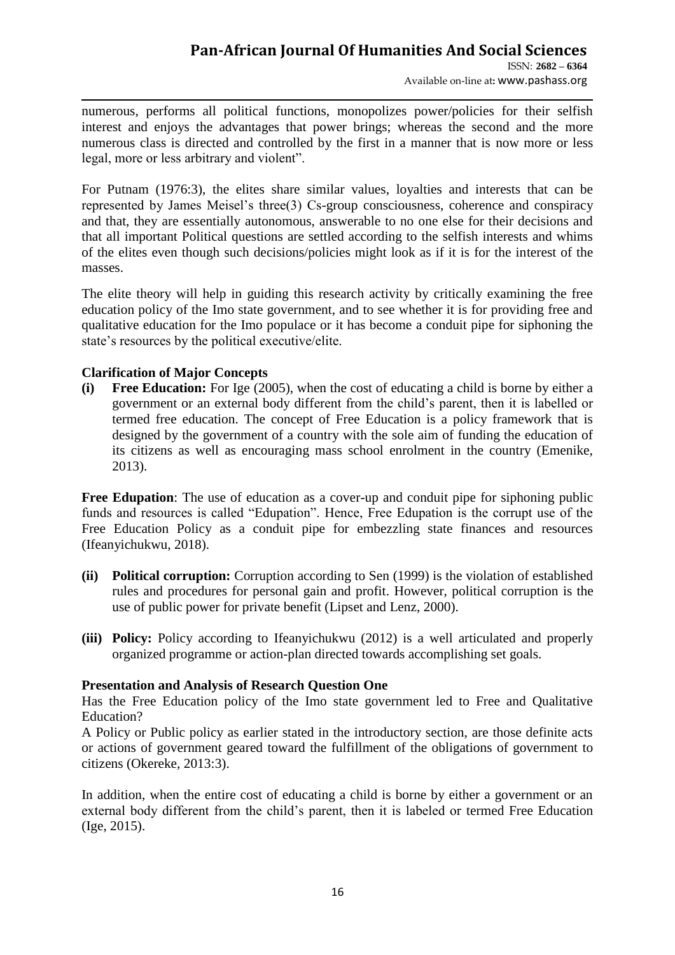numerous, performs all political functions, monopolizes power/policies for their selfish interest and enjoys the advantages that power brings; whereas the second and the more numerous class is directed and controlled by the first in a manner that is now more or less legal, more or less arbitrary and violent".

For Putnam (1976:3), the elites share similar values, loyalties and interests that can be represented by James Meisel's three(3) Cs-group consciousness, coherence and conspiracy and that, they are essentially autonomous, answerable to no one else for their decisions and that all important Political questions are settled according to the selfish interests and whims of the elites even though such decisions/policies might look as if it is for the interest of the masses.

The elite theory will help in guiding this research activity by critically examining the free education policy of the Imo state government, and to see whether it is for providing free and qualitative education for the Imo populace or it has become a conduit pipe for siphoning the state's resources by the political executive/elite.

## **Clarification of Major Concepts**

**(i) Free Education:** For Ige (2005), when the cost of educating a child is borne by either a government or an external body different from the child's parent, then it is labelled or termed free education. The concept of Free Education is a policy framework that is designed by the government of a country with the sole aim of funding the education of its citizens as well as encouraging mass school enrolment in the country (Emenike, 2013).

**Free Edupation**: The use of education as a cover-up and conduit pipe for siphoning public funds and resources is called "Edupation". Hence, Free Edupation is the corrupt use of the Free Education Policy as a conduit pipe for embezzling state finances and resources (Ifeanyichukwu, 2018).

- **(ii) Political corruption:** Corruption according to Sen (1999) is the violation of established rules and procedures for personal gain and profit. However, political corruption is the use of public power for private benefit (Lipset and Lenz, 2000).
- **(iii) Policy:** Policy according to Ifeanyichukwu (2012) is a well articulated and properly organized programme or action-plan directed towards accomplishing set goals.

## **Presentation and Analysis of Research Question One**

Has the Free Education policy of the Imo state government led to Free and Qualitative Education?

A Policy or Public policy as earlier stated in the introductory section, are those definite acts or actions of government geared toward the fulfillment of the obligations of government to citizens (Okereke, 2013:3).

In addition, when the entire cost of educating a child is borne by either a government or an external body different from the child's parent, then it is labeled or termed Free Education (Ige, 2015).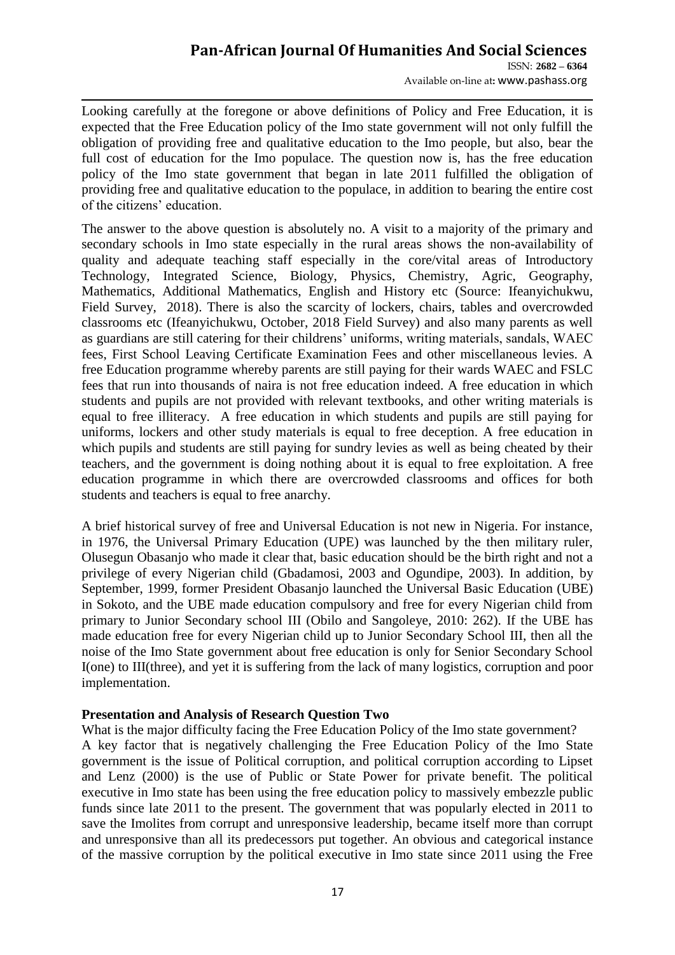ISSN: **2682 – 6364** Available on-line at**:** www.pashass.org

Looking carefully at the foregone or above definitions of Policy and Free Education, it is expected that the Free Education policy of the Imo state government will not only fulfill the obligation of providing free and qualitative education to the Imo people, but also, bear the full cost of education for the Imo populace. The question now is, has the free education policy of the Imo state government that began in late 2011 fulfilled the obligation of providing free and qualitative education to the populace, in addition to bearing the entire cost of the citizens' education.

The answer to the above question is absolutely no. A visit to a majority of the primary and secondary schools in Imo state especially in the rural areas shows the non-availability of quality and adequate teaching staff especially in the core/vital areas of Introductory Technology, Integrated Science, Biology, Physics, Chemistry, Agric, Geography, Mathematics, Additional Mathematics, English and History etc (Source: Ifeanyichukwu, Field Survey, 2018). There is also the scarcity of lockers, chairs, tables and overcrowded classrooms etc (Ifeanyichukwu, October, 2018 Field Survey) and also many parents as well as guardians are still catering for their childrens' uniforms, writing materials, sandals, WAEC fees, First School Leaving Certificate Examination Fees and other miscellaneous levies. A free Education programme whereby parents are still paying for their wards WAEC and FSLC fees that run into thousands of naira is not free education indeed. A free education in which students and pupils are not provided with relevant textbooks, and other writing materials is equal to free illiteracy. A free education in which students and pupils are still paying for uniforms, lockers and other study materials is equal to free deception. A free education in which pupils and students are still paying for sundry levies as well as being cheated by their teachers, and the government is doing nothing about it is equal to free exploitation. A free education programme in which there are overcrowded classrooms and offices for both students and teachers is equal to free anarchy.

A brief historical survey of free and Universal Education is not new in Nigeria. For instance, in 1976, the Universal Primary Education (UPE) was launched by the then military ruler, Olusegun Obasanjo who made it clear that, basic education should be the birth right and not a privilege of every Nigerian child (Gbadamosi, 2003 and Ogundipe, 2003). In addition, by September, 1999, former President Obasanjo launched the Universal Basic Education (UBE) in Sokoto, and the UBE made education compulsory and free for every Nigerian child from primary to Junior Secondary school III (Obilo and Sangoleye, 2010: 262). If the UBE has made education free for every Nigerian child up to Junior Secondary School III, then all the noise of the Imo State government about free education is only for Senior Secondary School I(one) to III(three), and yet it is suffering from the lack of many logistics, corruption and poor implementation.

## **Presentation and Analysis of Research Question Two**

What is the major difficulty facing the Free Education Policy of the Imo state government? A key factor that is negatively challenging the Free Education Policy of the Imo State government is the issue of Political corruption, and political corruption according to Lipset and Lenz (2000) is the use of Public or State Power for private benefit. The political executive in Imo state has been using the free education policy to massively embezzle public funds since late 2011 to the present. The government that was popularly elected in 2011 to save the Imolites from corrupt and unresponsive leadership, became itself more than corrupt and unresponsive than all its predecessors put together. An obvious and categorical instance of the massive corruption by the political executive in Imo state since 2011 using the Free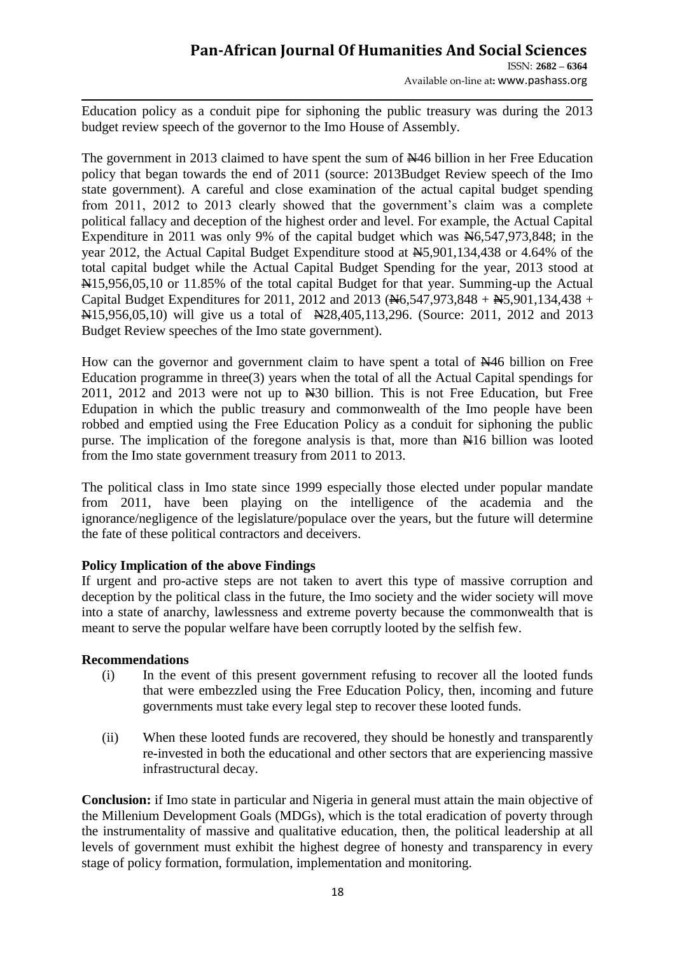# **Pan-African Journal Of Humanities And Social Sciences**

ISSN: **2682 – 6364** Available on-line at**:** www.pashass.org

Education policy as a conduit pipe for siphoning the public treasury was during the 2013 budget review speech of the governor to the Imo House of Assembly.

The government in 2013 claimed to have spent the sum of N46 billion in her Free Education policy that began towards the end of 2011 (source: 2013Budget Review speech of the Imo state government). A careful and close examination of the actual capital budget spending from 2011, 2012 to 2013 clearly showed that the government's claim was a complete political fallacy and deception of the highest order and level. For example, the Actual Capital Expenditure in 2011 was only 9% of the capital budget which was  $\frac{N}{6}$ , 547, 973, 848; in the year 2012, the Actual Capital Budget Expenditure stood at  $\text{H}_5$ , 901, 134, 438 or 4.64% of the total capital budget while the Actual Capital Budget Spending for the year, 2013 stood at N15,956,05,10 or 11.85% of the total capital Budget for that year. Summing-up the Actual Capital Budget Expenditures for 2011, 2012 and 2013 ( $\cancel{+}6,547,973,848 + \cancel{+}5,901,134,438 +$ N15,956,05,10) will give us a total of N28,405,113,296. (Source: 2011, 2012 and 2013 Budget Review speeches of the Imo state government).

How can the governor and government claim to have spent a total of  $\frac{1446}{1000}$  billion on Free Education programme in three(3) years when the total of all the Actual Capital spendings for 2011, 2012 and 2013 were not up to N30 billion. This is not Free Education, but Free Edupation in which the public treasury and commonwealth of the Imo people have been robbed and emptied using the Free Education Policy as a conduit for siphoning the public purse. The implication of the foregone analysis is that, more than N16 billion was looted from the Imo state government treasury from 2011 to 2013.

The political class in Imo state since 1999 especially those elected under popular mandate from 2011, have been playing on the intelligence of the academia and the ignorance/negligence of the legislature/populace over the years, but the future will determine the fate of these political contractors and deceivers.

## **Policy Implication of the above Findings**

If urgent and pro-active steps are not taken to avert this type of massive corruption and deception by the political class in the future, the Imo society and the wider society will move into a state of anarchy, lawlessness and extreme poverty because the commonwealth that is meant to serve the popular welfare have been corruptly looted by the selfish few.

## **Recommendations**

- (i) In the event of this present government refusing to recover all the looted funds that were embezzled using the Free Education Policy, then, incoming and future governments must take every legal step to recover these looted funds.
- (ii) When these looted funds are recovered, they should be honestly and transparently re-invested in both the educational and other sectors that are experiencing massive infrastructural decay.

**Conclusion:** if Imo state in particular and Nigeria in general must attain the main objective of the Millenium Development Goals (MDGs), which is the total eradication of poverty through the instrumentality of massive and qualitative education, then, the political leadership at all levels of government must exhibit the highest degree of honesty and transparency in every stage of policy formation, formulation, implementation and monitoring.